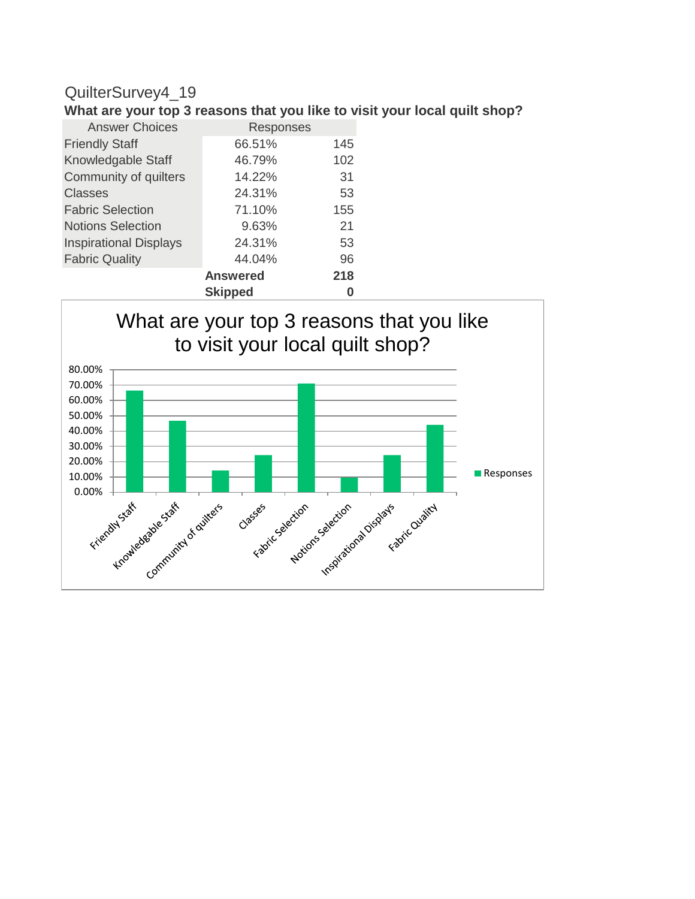**What are your top 3 reasons that you like to visit your local quilt shop?**

| <b>Answer Choices</b>         | Responses      |     |
|-------------------------------|----------------|-----|
| <b>Friendly Staff</b>         | 66.51%         | 145 |
| Knowledgable Staff            | 46.79%         | 102 |
| Community of quilters         | 14.22%         | 31  |
| <b>Classes</b>                | 24.31%         | 53  |
| <b>Fabric Selection</b>       | 71.10%         | 155 |
| <b>Notions Selection</b>      | 9.63%          | 21  |
| <b>Inspirational Displays</b> | 24.31%         | 53  |
| <b>Fabric Quality</b>         | 44.04%         | 96  |
| <b>Answered</b>               |                | 218 |
|                               | <b>Skipped</b> |     |

# What are your top 3 reasons that you like to visit your local quilt shop?

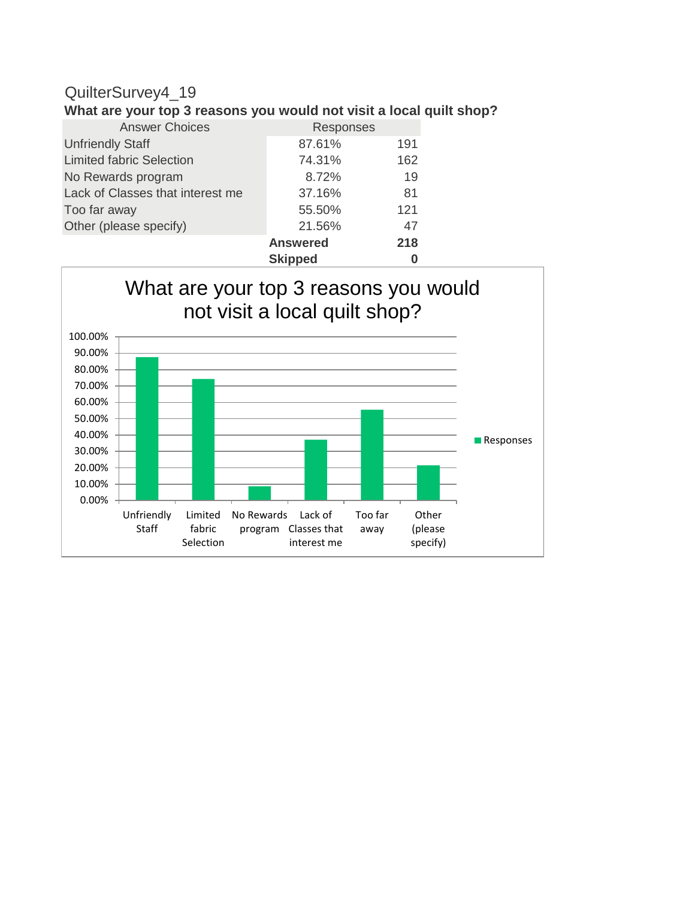#### **What are your top 3 reasons you would not visit a local quilt shop?**

|                                  | <b>Skipped</b>  |     |
|----------------------------------|-----------------|-----|
|                                  | <b>Answered</b> | 218 |
| Other (please specify)           | 21.56%          | 47  |
| Too far away                     | 55.50%          | 121 |
| Lack of Classes that interest me | 37.16%          | 81  |
| No Rewards program               | 8.72%           | 19  |
| <b>Limited fabric Selection</b>  | 74.31%          | 162 |
| <b>Unfriendly Staff</b>          | 87.61%          | 191 |
| <b>Answer Choices</b>            | Responses       |     |

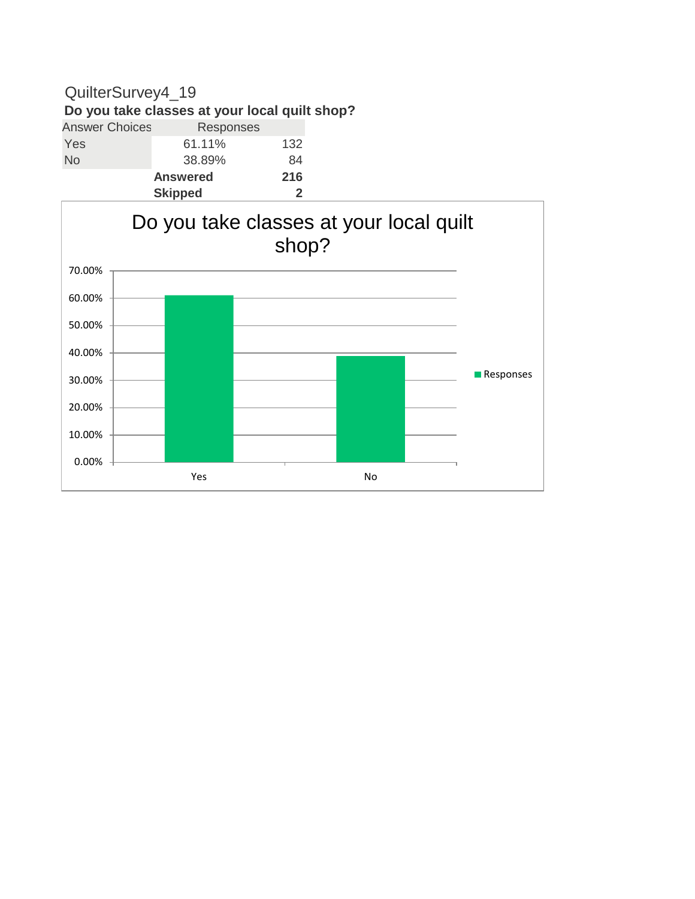### **Do you take classes at your local quilt shop?**

|                       | <b>Skinned</b> |     |
|-----------------------|----------------|-----|
| <b>Answered</b>       |                | 216 |
| N <sub>o</sub>        | 38.89%         | 84  |
| Yes                   | 61.11%         | 132 |
| <b>Answer Choices</b> | Responses      |     |
|                       |                |     |

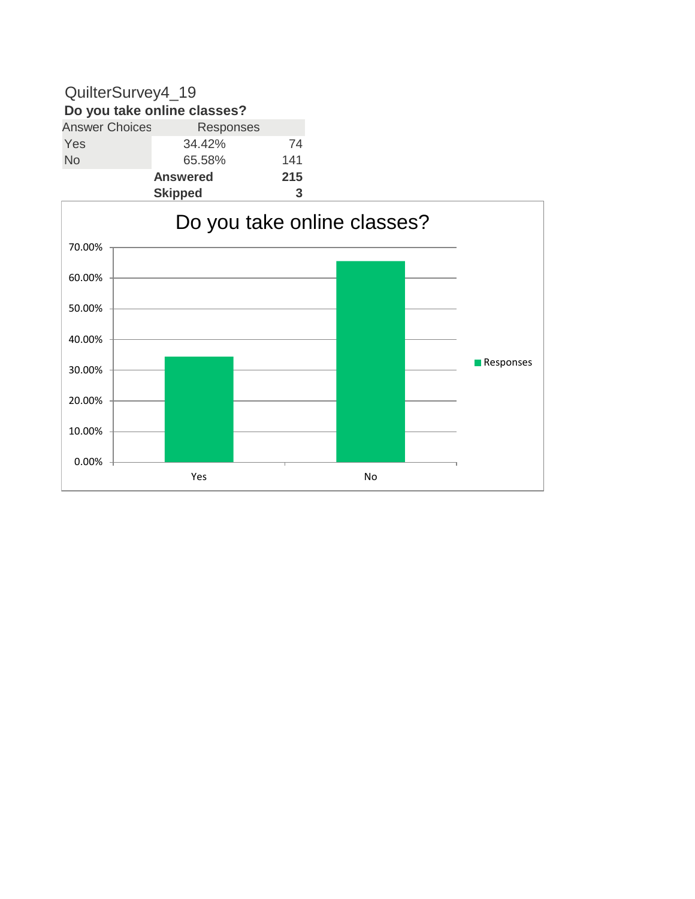| Do you take online classes? |                |     |  |
|-----------------------------|----------------|-----|--|
| <b>Answer Choices</b>       | Responses      |     |  |
| Yes                         | 34.42%         | 74  |  |
| <b>No</b>                   | 65.58%         | 141 |  |
| <b>Answered</b>             |                | 215 |  |
|                             | <b>Skipped</b> | 3   |  |

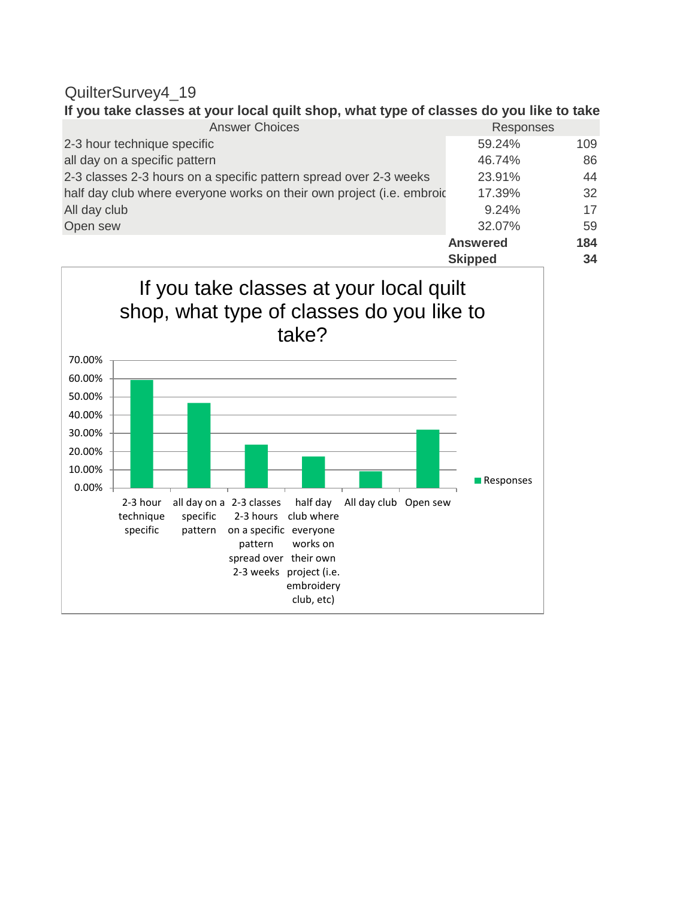| II you tano biassos at your loud guit shop, milat type of biassos as you line to tano |                  |     |  |
|---------------------------------------------------------------------------------------|------------------|-----|--|
| <b>Answer Choices</b>                                                                 | <b>Responses</b> |     |  |
| 2-3 hour technique specific                                                           | 59.24%           | 109 |  |
| all day on a specific pattern                                                         | 46.74%           | 86  |  |
| 2-3 classes 2-3 hours on a specific pattern spread over 2-3 weeks                     | 23.91%           | 44  |  |
| half day club where everyone works on their own project (i.e. embroid                 | 17.39%           | 32  |  |
| All day club                                                                          | 9.24%            | 17  |  |
| Open sew                                                                              | 32.07%           | 59  |  |
|                                                                                       | <b>Answered</b>  | 184 |  |
|                                                                                       | <b>Skipped</b>   |     |  |
|                                                                                       |                  |     |  |



**If you take classes at your local quilt shop, what type of classes do you like to take?**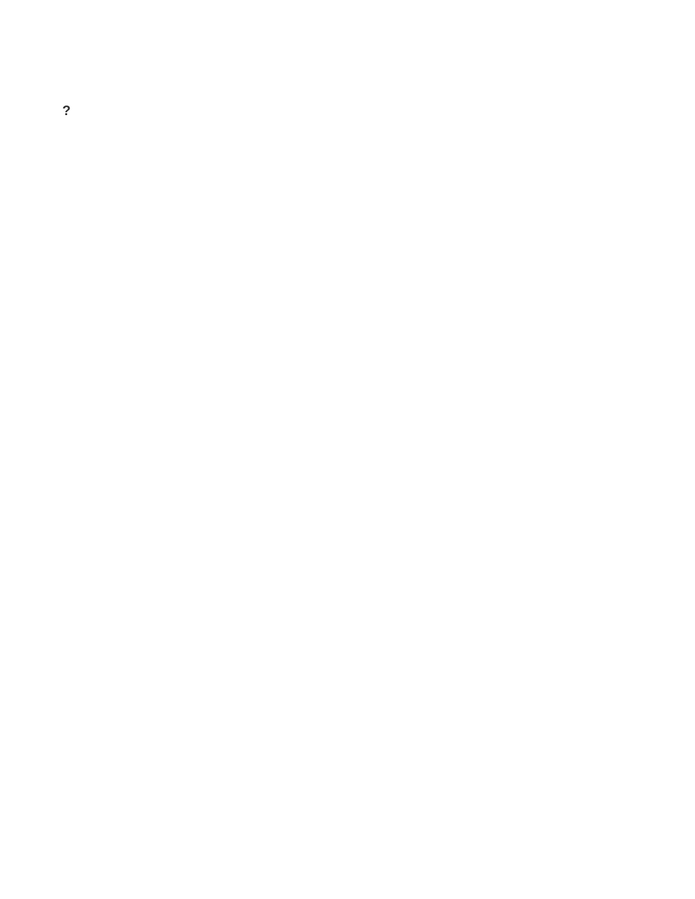**If you take classes at your local quilt shop, what type of classes do you like to take?**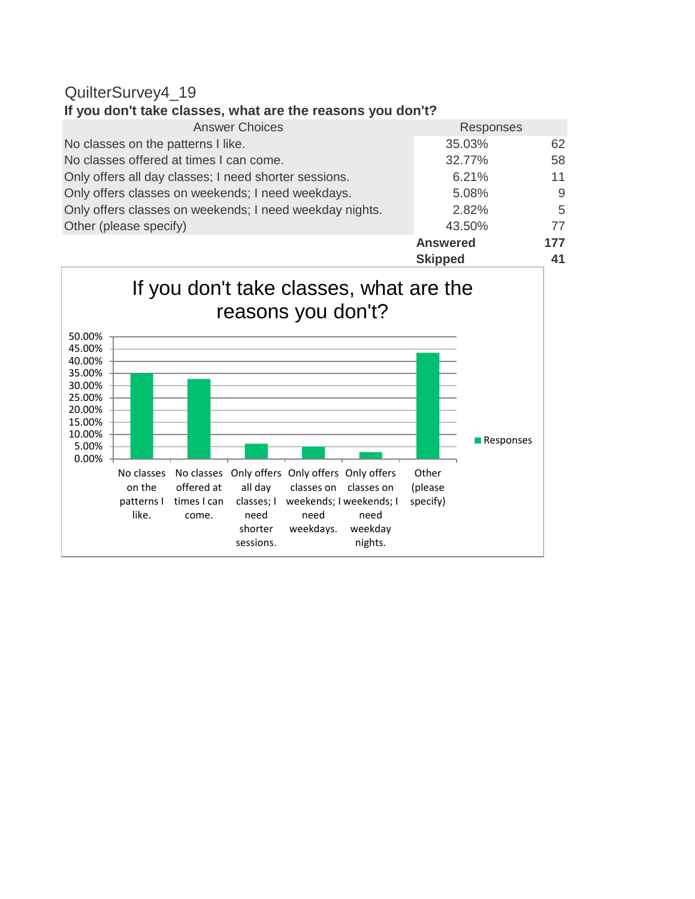#### QuilterSurvey4\_19 **If you don't take classes, what are the reasons you don't?**

| <b>Answer Choices</b>                                   | Responses       |                 |
|---------------------------------------------------------|-----------------|-----------------|
| No classes on the patterns I like.                      | 35.03%          | 62              |
| No classes offered at times I can come.                 | 32.77%          | 58              |
| Only offers all day classes; I need shorter sessions.   | 6.21%           | 11              |
| Only offers classes on weekends; I need weekdays.       | 5.08%           | 9               |
| Only offers classes on weekends; I need weekday nights. | 2.82%           | 5               |
| Other (please specify)                                  | 43.50%          | 77              |
|                                                         | <b>Answered</b> | 177             |
|                                                         | <b>Skinnad</b>  | $\overline{11}$ |

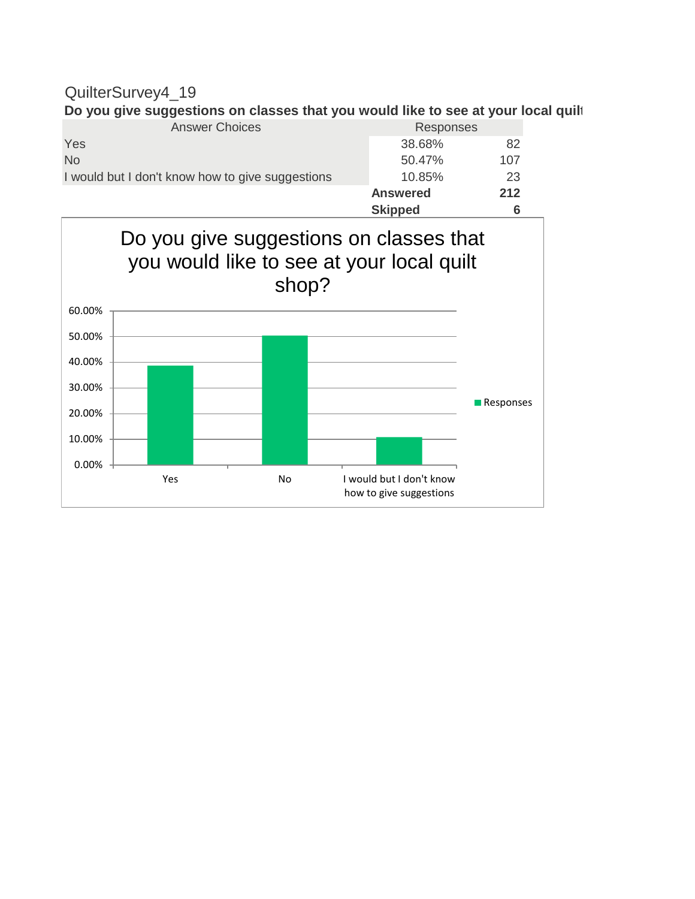### QuilterSurvey4\_19 Do you give suggestions on classes that you would like to see at your local quilt

| <b>Answer Choices</b>                            | Responses       |     |
|--------------------------------------------------|-----------------|-----|
| Yes                                              | 38.68%          | 82  |
| <b>No</b>                                        | 50.47%          | 107 |
| I would but I don't know how to give suggestions | 10.85%          | 23  |
|                                                  | <b>Answered</b> | 212 |
|                                                  | <b>Skipped</b>  |     |

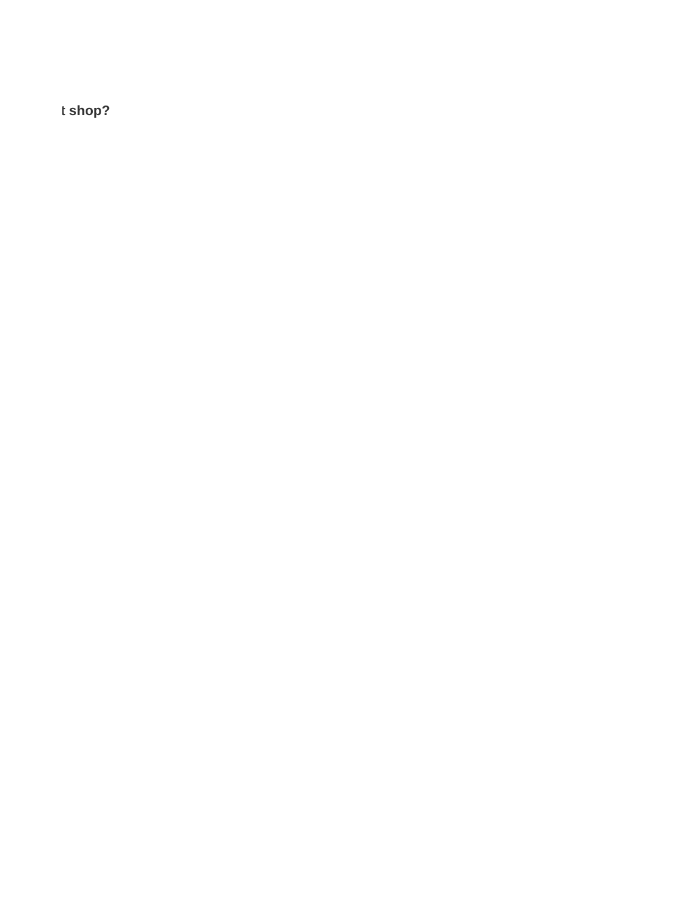**Positions in shop?**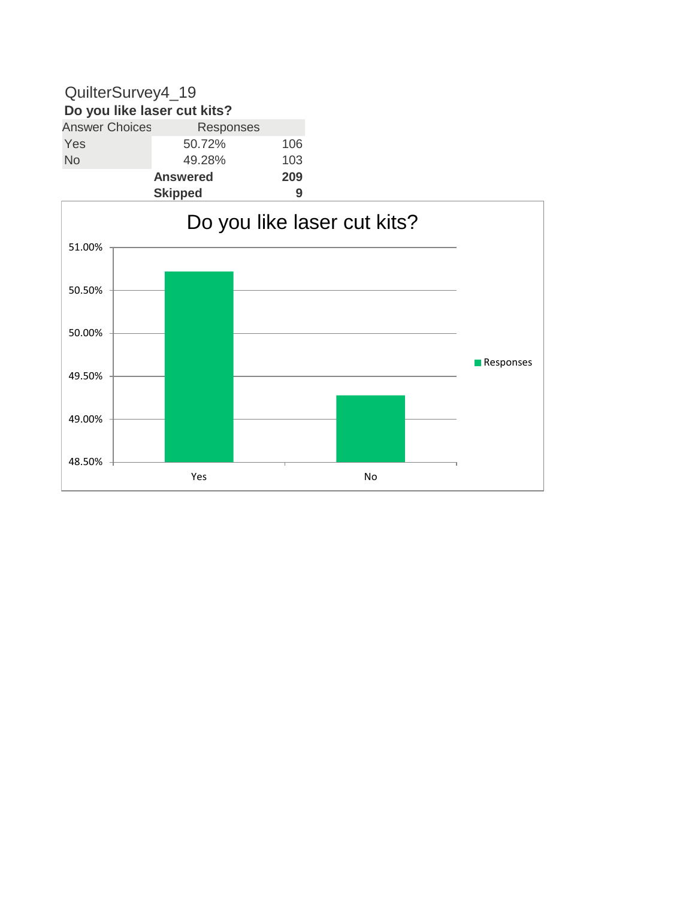| Do you like laser cut kits? |                |     |  |
|-----------------------------|----------------|-----|--|
| <b>Answer Choices</b>       | Responses      |     |  |
| Yes                         | 50.72%         | 106 |  |
| <b>No</b>                   | 49.28%         | 103 |  |
| <b>Answered</b>             |                | 209 |  |
|                             | <b>Skipped</b> | 9   |  |